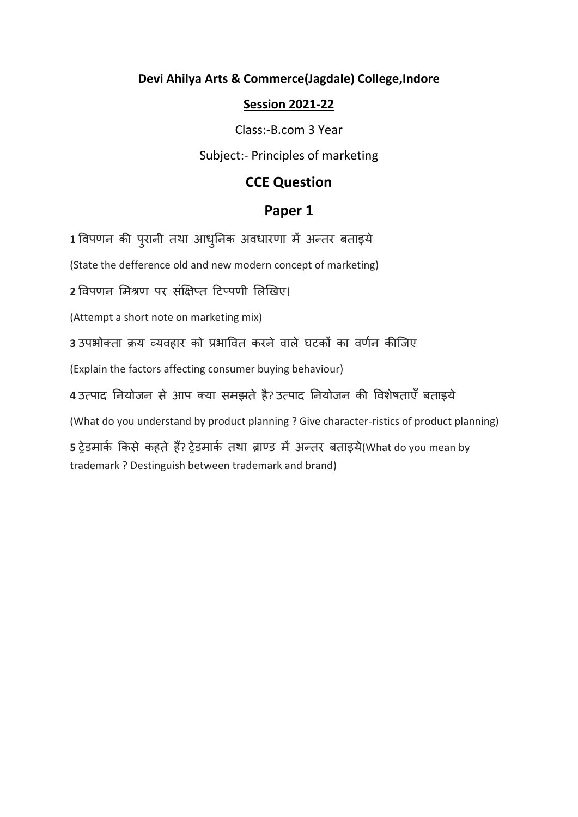#### **Devi Ahilya Arts & Commerce(Jagdale) College,Indore**

#### **Session 2021-22**

Class:-B.com 3 Year

Subject:- Principles of marketing

### **CCE Question**

### **Paper 1**

1 विपणन की पुरानी तथा आधुनिक अवधारणा में अन्तर बताइये

(State the defference old and new modern concept of marketing)

**2** विपणन ममश्रण पर संक्षिप्त टिप्पणी मिखिए।

(Attempt a short note on marketing mix)

3 उपभोक्ता क्रय व्यवहार को प्रभावित करने वाले घटकों का वर्णन कीजिए

(Explain the factors affecting consumer buying behaviour)

**4** उत्पाद ननयोिन से आप क्या समझते है? उत्पाद ननयोिन की विशेषताएँ बताइये

(What do you understand by product planning ? Give character-ristics of product planning)

5 ट्रेडमार्क किसे कहते हैं? ट्रेडमार्क तथा ब्राण्ड में अन्तर बताइये(What do you mean by trademark ? Destinguish between trademark and brand)